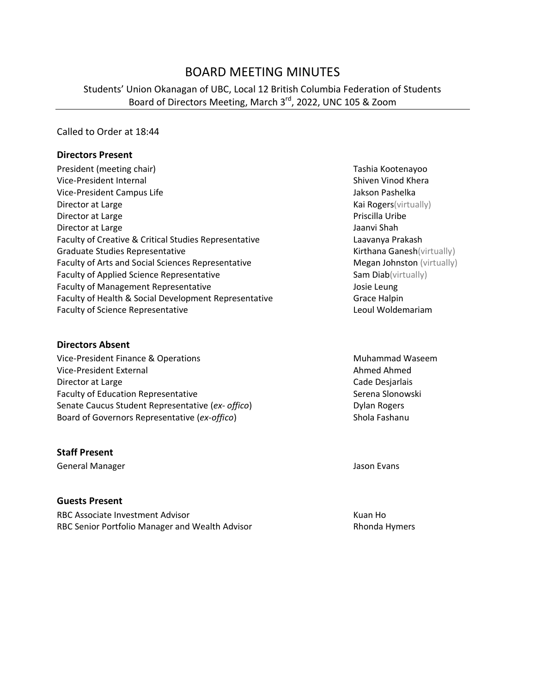# BOARD MEETING MINUTES

# Students' Union Okanagan of UBC, Local 12 British Columbia Federation of Students Board of Directors Meeting, March 3<sup>rd</sup>, 2022, UNC 105 & Zoom

#### Called to Order at 18:44

#### **Directors Present**

| President (meeting chair)                             |
|-------------------------------------------------------|
| Vice-President Internal                               |
| Vice-President Campus Life                            |
| Director at Large                                     |
| Director at Large                                     |
| Director at Large                                     |
| Faculty of Creative & Critical Studies Representative |
| Graduate Studies Representative                       |
| Faculty of Arts and Social Sciences Representative    |
| <b>Faculty of Applied Science Representative</b>      |
| <b>Faculty of Management Representative</b>           |
| Faculty of Health & Social Development Representative |
| <b>Faculty of Science Representative</b>              |

#### **Directors Absent**

Vice-President Finance & Operations Muhammad Waseem Vice-President External Ahmed Ahmed Ahmed Ahmed Ahmed Ahmed Ahmed Ahmed Ahmed Ahmed Ahmed Ahmed Ahmed Ahmed Ahmed Ahmed Ahmed Ahmed Ahmed Ahmed Ahmed Ahmed Ahmed Ahmed Ahmed Ahmed Ahmed Ahmed Ahmed Ahmed Ahmed Ahmed Ahmed Director at Large **Cade Desjarlais Cade Desjarlais** Faculty of Education Representative **Serena Slonowski** Serena Slonowski Senate Caucus Student Representative (*ex- offico*) Dylan Rogers Board of Governors Representative (*ex-offico*) Shola Fashanu

#### **Staff Present**

General Manager **Jason Evans** Jason Evans

#### **Guests Present**

RBC Associate Investment Advisor Manual According to the Multiple RBC Associate Investment Advisor RBC Senior Portfolio Manager and Wealth Advisor **Rhonda Hymers** Rhonda Hymers

Tashia Kootenayoo Shiven Vinod Khera Jakson Pashelka Kai Rogers(virtually) Priscilla Uribe Jaanvi Shah Laavanya Prakash Kirthana Ganesh(virtually) Megan Johnston (virtually) Sam Diab(virtually) Josie Leung Grace Halpin Leoul Woldemariam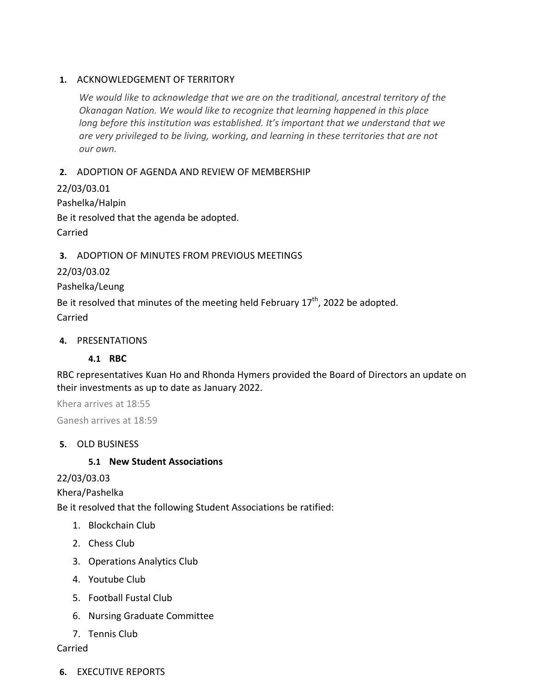### **1.** ACKNOWLEDGEMENT OF TERRITORY

*We would like to acknowledge that we are on the traditional, ancestral territory of the Okanagan Nation. We would like to recognize that learning happened in this place long before this institution was established. It's important that we understand that we are very privileged to be living, working, and learning in these territories that are not our own.*

# **2.** ADOPTION OF AGENDA AND REVIEW OF MEMBERSHIP

22/03/03.01 Pashelka/Halpin Be it resolved that the agenda be adopted. Carried

# **3.** ADOPTION OF MINUTES FROM PREVIOUS MEETINGS

22/03/03.02

Pashelka/Leung

Be it resolved that minutes of the meeting held February  $17^{th}$ , 2022 be adopted. Carried

### **4.** PRESENTATIONS

# **4.1 RBC**

RBC representatives Kuan Ho and Rhonda Hymers provided the Board of Directors an update on their investments as up to date as January 2022.

Khera arrives at 18:55 Ganesh arrives at 18:59

# **5.** OLD BUSINESS

# **5.1 New Student Associations**

# 22/03/03.03

Khera/Pashelka

Be it resolved that the following Student Associations be ratified:

- 1. Blockchain Club
- 2. Chess Club
- 3. Operations Analytics Club
- 4. Youtube Club
- 5. Football Fustal Club
- 6. Nursing Graduate Committee
- 7. Tennis Club

#### Carried

**6.** EXECUTIVE REPORTS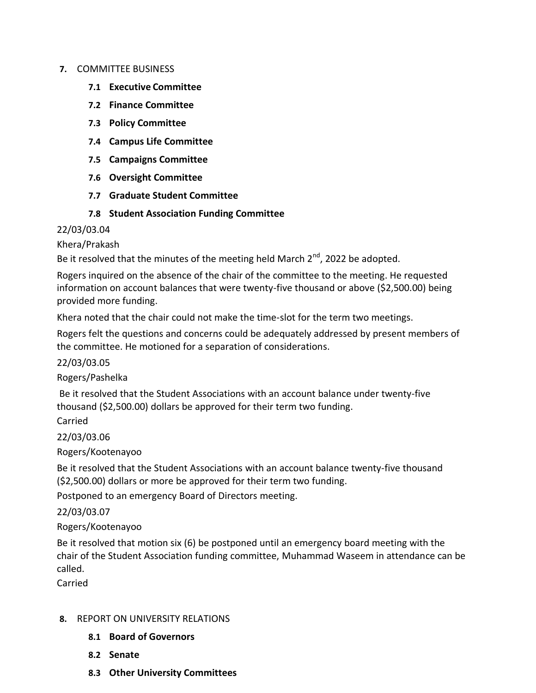#### **7.** COMMITTEE BUSINESS

- **7.1 Executive Committee**
- **7.2 Finance Committee**
- **7.3 Policy Committee**
- **7.4 Campus Life Committee**
- **7.5 Campaigns Committee**
- **7.6 Oversight Committee**
- **7.7 Graduate Student Committee**

### **7.8 Student Association Funding Committee**

#### 22/03/03.04

Khera/Prakash

Be it resolved that the minutes of the meeting held March  $2^{nd}$ , 2022 be adopted.

Rogers inquired on the absence of the chair of the committee to the meeting. He requested information on account balances that were twenty-five thousand or above (\$2,500.00) being provided more funding.

Khera noted that the chair could not make the time-slot for the term two meetings.

Rogers felt the questions and concerns could be adequately addressed by present members of the committee. He motioned for a separation of considerations.

22/03/03.05

Rogers/Pashelka

Be it resolved that the Student Associations with an account balance under twenty-five thousand (\$2,500.00) dollars be approved for their term two funding.

Carried

22/03/03.06

Rogers/Kootenayoo

Be it resolved that the Student Associations with an account balance twenty-five thousand (\$2,500.00) dollars or more be approved for their term two funding.

Postponed to an emergency Board of Directors meeting.

22/03/03.07

#### Rogers/Kootenayoo

Be it resolved that motion six (6) be postponed until an emergency board meeting with the chair of the Student Association funding committee, Muhammad Waseem in attendance can be called.

Carried

#### **8.** REPORT ON UNIVERSITY RELATIONS

- **8.1 Board of Governors**
- **8.2 Senate**
- **8.3 Other University Committees**